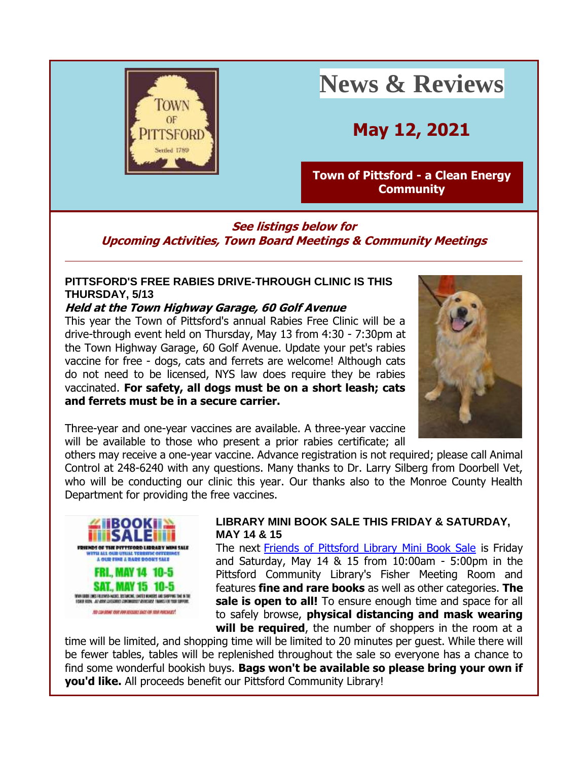

# **News & Reviews**

**May 12, 2021**

### **[Town of Pittsford -](http://r20.rs6.net/tn.jsp?f=001O1Lm08_RKJCb6F1ZhWcH7nTxpScrpQ37GJOMbr4u9-fW5RaAwAEZwF_K1HIIjtc3HNPmDRkJysZtma1wa1Kml_GuZDQbLp7IKngy2mme0NZzc9LGH8LsVIWQChi4GRInwplYJNlroQUOUIhHX7a8G_T0URUV0q9U&c=rHjRkhIWIakbYM0iyegcAGNFuX2OTQb9KXj8t4uWMV8DtkV81_bMKg==&ch=ie3LLoSIbjZxhonxklvSSGSz3c9Wd97dFL6ogjGZK3M1C3VKrlAKmw==&jrc=1) a Clean Energy [Community](http://r20.rs6.net/tn.jsp?f=001O1Lm08_RKJCb6F1ZhWcH7nTxpScrpQ37GJOMbr4u9-fW5RaAwAEZwF_K1HIIjtc3HNPmDRkJysZtma1wa1Kml_GuZDQbLp7IKngy2mme0NZzc9LGH8LsVIWQChi4GRInwplYJNlroQUOUIhHX7a8G_T0URUV0q9U&c=rHjRkhIWIakbYM0iyegcAGNFuX2OTQb9KXj8t4uWMV8DtkV81_bMKg==&ch=ie3LLoSIbjZxhonxklvSSGSz3c9Wd97dFL6ogjGZK3M1C3VKrlAKmw==&jrc=1)**

### **See listings below for Upcoming Activities, Town Board Meetings & Community Meetings**

### **PITTSFORD'S FREE RABIES DRIVE-THROUGH CLINIC IS THIS THURSDAY, 5/13**

### **Held at the Town Highway Garage, 60 Golf Avenue**

This year the Town of Pittsford's annual Rabies Free Clinic will be a drive-through event held on Thursday, May 13 from 4:30 - 7:30pm at the Town Highway Garage, 60 Golf Avenue. Update your pet's rabies vaccine for free - dogs, cats and ferrets are welcome! Although cats do not need to be licensed, NYS law does require they be rabies vaccinated. **For safety, all dogs must be on a short leash; cats and ferrets must be in a secure carrier.**



Three-year and one-year vaccines are available. A three-year vaccine will be available to those who present a prior rabies certificate; all

others may receive a one-year vaccine. Advance registration is not required; please call Animal Control at 248-6240 with any questions. Many thanks to Dr. Larry Silberg from Doorbell Vet, who will be conducting our clinic this year. Our thanks also to the Monroe County Health Department for providing the free vaccines.



#### **LIBRARY MINI BOOK SALE THIS FRIDAY & SATURDAY, MAY 14 & 15**

The next [Friends of Pittsford Library Mini Book Sale](http://r20.rs6.net/tn.jsp?f=001O1Lm08_RKJCb6F1ZhWcH7nTxpScrpQ37GJOMbr4u9-fW5RaAwAEZwB4fsDuUQ2Rxgr0rlGckgrpwrhQvL4tGsXn6QZhVhI2rVgPsR4Fu2U3KKVoU9h39r8vY6t6ZvyyCfmJ-V95ZkRjJEH0TtzA6VofwRJOft9Nn&c=rHjRkhIWIakbYM0iyegcAGNFuX2OTQb9KXj8t4uWMV8DtkV81_bMKg==&ch=ie3LLoSIbjZxhonxklvSSGSz3c9Wd97dFL6ogjGZK3M1C3VKrlAKmw==&jrc=1) is Friday and Saturday, May 14 & 15 from 10:00am - 5:00pm in the Pittsford Community Library's Fisher Meeting Room and features **fine and rare books** as well as other categories. **The**  sale is open to all! To ensure enough time and space for all to safely browse, **physical distancing and mask wearing will be required**, the number of shoppers in the room at a

time will be limited, and shopping time will be limited to 20 minutes per guest. While there will be fewer tables, tables will be replenished throughout the sale so everyone has a chance to find some wonderful bookish buys. **Bags won't be available so please bring your own if you'd like.** All proceeds benefit our Pittsford Community Library!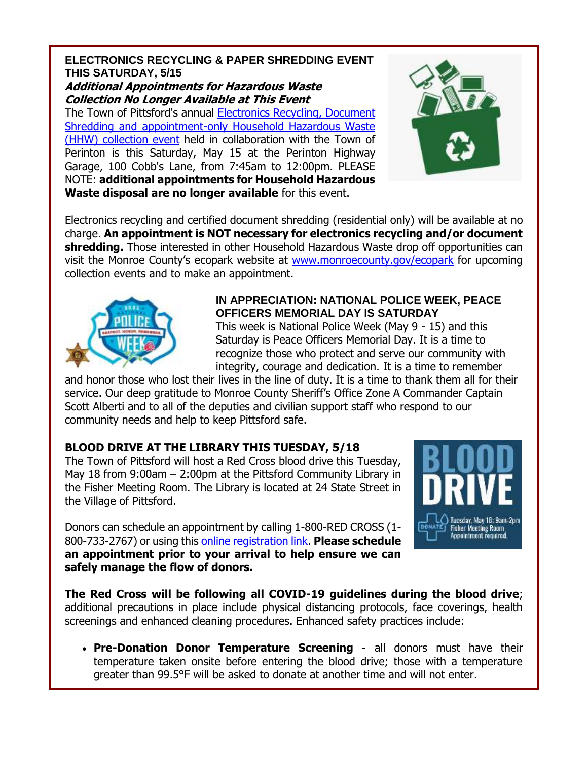### **ELECTRONICS RECYCLING & PAPER SHREDDING EVENT THIS SATURDAY, 5/15 Additional Appointments for Hazardous Waste**

**Collection No Longer Available at This Event**

The Town of Pittsford's annual [Electronics Recycling, Document](http://r20.rs6.net/tn.jsp?f=001O1Lm08_RKJCb6F1ZhWcH7nTxpScrpQ37GJOMbr4u9-fW5RaAwAEZwMGyUZVNbYymRpRJrCyBl9pf8VJ2hrmYPnV9POiK51UaoGASpJhMuK0ksVlnD2QuPA_bfyd0bX7NLXzciDo4F1P1Kn-kFm0i4yOIJeTzSW4-YiylA9fdTH0PYdLxhiruoYNiDl8xvwzpnhzhqo8mz9t3Gr8MoapdpveUtUdpmMrN&c=rHjRkhIWIakbYM0iyegcAGNFuX2OTQb9KXj8t4uWMV8DtkV81_bMKg==&ch=ie3LLoSIbjZxhonxklvSSGSz3c9Wd97dFL6ogjGZK3M1C3VKrlAKmw==&jrc=1)  [Shredding and appointment-only Household Hazardous Waste](http://r20.rs6.net/tn.jsp?f=001O1Lm08_RKJCb6F1ZhWcH7nTxpScrpQ37GJOMbr4u9-fW5RaAwAEZwMGyUZVNbYymRpRJrCyBl9pf8VJ2hrmYPnV9POiK51UaoGASpJhMuK0ksVlnD2QuPA_bfyd0bX7NLXzciDo4F1P1Kn-kFm0i4yOIJeTzSW4-YiylA9fdTH0PYdLxhiruoYNiDl8xvwzpnhzhqo8mz9t3Gr8MoapdpveUtUdpmMrN&c=rHjRkhIWIakbYM0iyegcAGNFuX2OTQb9KXj8t4uWMV8DtkV81_bMKg==&ch=ie3LLoSIbjZxhonxklvSSGSz3c9Wd97dFL6ogjGZK3M1C3VKrlAKmw==&jrc=1)  [\(HHW\) collection event](http://r20.rs6.net/tn.jsp?f=001O1Lm08_RKJCb6F1ZhWcH7nTxpScrpQ37GJOMbr4u9-fW5RaAwAEZwMGyUZVNbYymRpRJrCyBl9pf8VJ2hrmYPnV9POiK51UaoGASpJhMuK0ksVlnD2QuPA_bfyd0bX7NLXzciDo4F1P1Kn-kFm0i4yOIJeTzSW4-YiylA9fdTH0PYdLxhiruoYNiDl8xvwzpnhzhqo8mz9t3Gr8MoapdpveUtUdpmMrN&c=rHjRkhIWIakbYM0iyegcAGNFuX2OTQb9KXj8t4uWMV8DtkV81_bMKg==&ch=ie3LLoSIbjZxhonxklvSSGSz3c9Wd97dFL6ogjGZK3M1C3VKrlAKmw==&jrc=1) held in collaboration with the Town of Perinton is this Saturday, May 15 at the Perinton Highway Garage, 100 Cobb's Lane, from 7:45am to 12:00pm. PLEASE NOTE: **additional appointments for Household Hazardous Waste disposal are no longer available** for this event.



Electronics recycling and certified document shredding (residential only) will be available at no charge. **An appointment is NOT necessary for electronics recycling and/or document shredding.** Those interested in other Household Hazardous Waste drop off opportunities can visit the Monroe County's ecopark website at [www.monroecounty.gov/ecopark](http://r20.rs6.net/tn.jsp?f=001O1Lm08_RKJCb6F1ZhWcH7nTxpScrpQ37GJOMbr4u9-fW5RaAwAEZwG2Yss96RJvBjIwkO0m1kSOq2-cSeQEeXB5XhBuctA2oMVJeKwiVqEFKxfDA_sIyCmuMLFkioShLpgqV7q_k7RpA64rmJbpO21k_uX_tg4en&c=rHjRkhIWIakbYM0iyegcAGNFuX2OTQb9KXj8t4uWMV8DtkV81_bMKg==&ch=ie3LLoSIbjZxhonxklvSSGSz3c9Wd97dFL6ogjGZK3M1C3VKrlAKmw==&jrc=1) for upcoming collection events and to make an appointment.



### **IN APPRECIATION: NATIONAL POLICE WEEK, PEACE OFFICERS MEMORIAL DAY IS SATURDAY**

This week is National Police Week (May 9 - 15) and this Saturday is Peace Officers Memorial Day. It is a time to recognize those who protect and serve our community with integrity, courage and dedication. It is a time to remember

and honor those who lost their lives in the line of duty. It is a time to thank them all for their service. Our deep gratitude to Monroe County Sheriff's Office Zone A Commander Captain Scott Alberti and to all of the deputies and civilian support staff who respond to our community needs and help to keep Pittsford safe.

### **BLOOD DRIVE AT THE LIBRARY THIS TUESDAY, 5/18**

The Town of Pittsford will host a Red Cross blood drive this Tuesday, May 18 from 9:00am – 2:00pm at the Pittsford Community Library in the Fisher Meeting Room. The Library is located at 24 State Street in the Village of Pittsford.

Donors can schedule an appointment by calling 1-800-RED CROSS (1- 800-733-2767) or using this [online registration link.](http://r20.rs6.net/tn.jsp?f=001O1Lm08_RKJCb6F1ZhWcH7nTxpScrpQ37GJOMbr4u9-fW5RaAwAEZwNlutTPbwJ-yUhrQwW_3myLHLGAj8seG4o5BfSJ3_01yeQi6XB0wKurgQNhcDN5zxJKJAzuOY5ieZ37rW8FnCUBn-sD5-R092f_5m4RDbT4hjwr14n4HEwrZMBnMglu-ITAkV12jJYNbOXzpqqYbfXsmDN1rUwxBfyERaIJQRCBgbnWsmop0uLs=&c=rHjRkhIWIakbYM0iyegcAGNFuX2OTQb9KXj8t4uWMV8DtkV81_bMKg==&ch=ie3LLoSIbjZxhonxklvSSGSz3c9Wd97dFL6ogjGZK3M1C3VKrlAKmw==&jrc=1) **Please schedule an appointment prior to your arrival to help ensure we can safely manage the flow of donors.**



**The Red Cross will be following all COVID-19 guidelines during the blood drive**; additional precautions in place include physical distancing protocols, face coverings, health screenings and enhanced cleaning procedures. Enhanced safety practices include:

 **Pre-Donation Donor Temperature Screening** - all donors must have their temperature taken onsite before entering the blood drive; those with a temperature greater than 99.5°F will be asked to donate at another time and will not enter.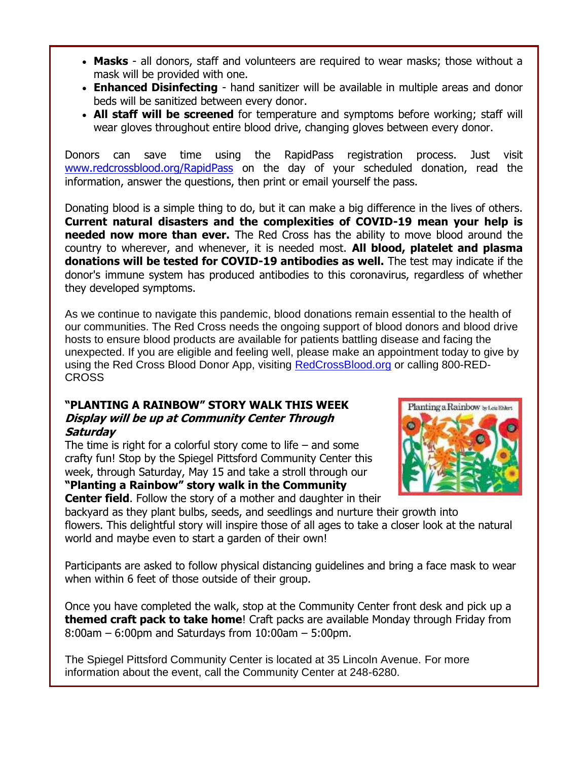- **Masks** all donors, staff and volunteers are required to wear masks; those without a mask will be provided with one.
- **Enhanced Disinfecting** hand sanitizer will be available in multiple areas and donor beds will be sanitized between every donor.
- **All staff will be screened** for temperature and symptoms before working; staff will wear gloves throughout entire blood drive, changing gloves between every donor.

Donors can save time using the RapidPass registration process. Just visit [www.redcrossblood.org/RapidPass](http://r20.rs6.net/tn.jsp?f=001O1Lm08_RKJCb6F1ZhWcH7nTxpScrpQ37GJOMbr4u9-fW5RaAwAEZwEDdgTLIo7y5Zv1XoAqjsshR9visYuckIfBKcUTGPAFm9vegXrTIJG2ZqA-y8iKVrsYoNofU2_u3iWNZNJCTKjo4AzG_UTb9dAKpetQYpzWe1NLN2GipDpY=&c=rHjRkhIWIakbYM0iyegcAGNFuX2OTQb9KXj8t4uWMV8DtkV81_bMKg==&ch=ie3LLoSIbjZxhonxklvSSGSz3c9Wd97dFL6ogjGZK3M1C3VKrlAKmw==&jrc=1) on the day of your scheduled donation, read the information, answer the questions, then print or email yourself the pass.

Donating blood is a simple thing to do, but it can make a big difference in the lives of others. **Current natural disasters and the complexities of COVID-19 mean your help is needed now more than ever.** The Red Cross has the ability to move blood around the country to wherever, and whenever, it is needed most. **All blood, platelet and plasma donations will be tested for COVID-19 antibodies as well.** The test may indicate if the donor's immune system has produced antibodies to this coronavirus, regardless of whether they developed symptoms.

As we continue to navigate this pandemic, blood donations remain essential to the health of our communities. The Red Cross needs the ongoing support of blood donors and blood drive hosts to ensure blood products are available for patients battling disease and facing the unexpected. If you are eligible and feeling well, please make an appointment today to give by using the Red Cross Blood Donor App, visiting [RedCrossBlood.org](http://r20.rs6.net/tn.jsp?f=001O1Lm08_RKJCb6F1ZhWcH7nTxpScrpQ37GJOMbr4u9-fW5RaAwAEZwKfjOkhOZ8JNAp4JZZiySyeJpI0Q-VBEyQyp-eaQurgw-o3bb4Y6dMmIChs_NmOtovuol1pWNiq92zaW4H_vR-WHYsrT7oGc3Q==&c=rHjRkhIWIakbYM0iyegcAGNFuX2OTQb9KXj8t4uWMV8DtkV81_bMKg==&ch=ie3LLoSIbjZxhonxklvSSGSz3c9Wd97dFL6ogjGZK3M1C3VKrlAKmw==&jrc=1) or calling 800-RED-CROSS

### **"PLANTING A RAINBOW" STORY WALK THIS WEEK Display will be up at Community Center Through Saturday**

The time is right for a colorful story come to life – and some crafty fun! Stop by the Spiegel Pittsford Community Center this week, through Saturday, May 15 and take a stroll through our **"Planting a Rainbow" story walk in the Community** 



**Center field**. Follow the story of a mother and daughter in their

backyard as they plant bulbs, seeds, and seedlings and nurture their growth into flowers. This delightful story will inspire those of all ages to take a closer look at the natural world and maybe even to start a garden of their own!

Participants are asked to follow physical distancing guidelines and bring a face mask to wear when within 6 feet of those outside of their group.

Once you have completed the walk, stop at the Community Center front desk and pick up a **themed craft pack to take home**! Craft packs are available Monday through Friday from 8:00am – 6:00pm and Saturdays from 10:00am – 5:00pm.

The Spiegel Pittsford Community Center is located at 35 Lincoln Avenue. For more information about the event, call the Community Center at 248-6280.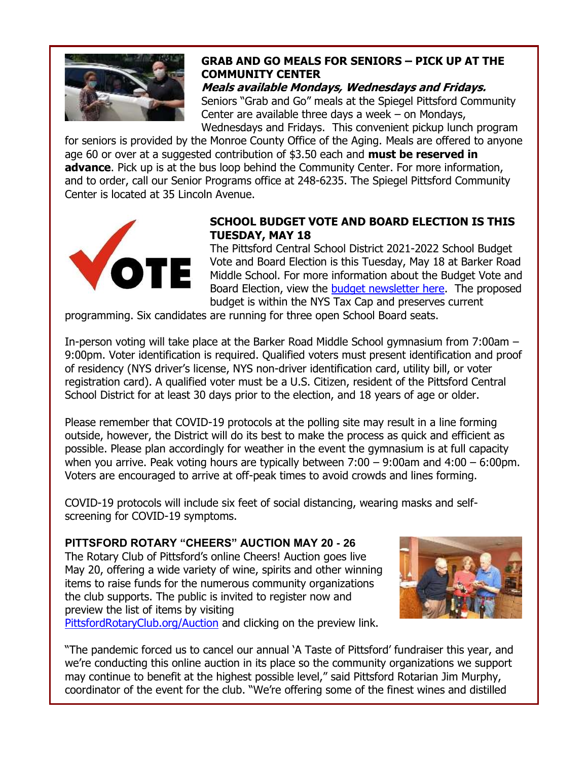

### **GRAB AND GO MEALS FOR SENIORS – PICK UP AT THE COMMUNITY CENTER**

**Meals available Mondays, Wednesdays and Fridays.** Seniors "Grab and Go" meals at the Spiegel Pittsford Community Center are available three days a week – on Mondays, Wednesdays and Fridays. This convenient pickup lunch program

for seniors is provided by the Monroe County Office of the Aging. Meals are offered to anyone age 60 or over at a suggested contribution of \$3.50 each and **must be reserved in advance**. Pick up is at the bus loop behind the Community Center. For more information, and to order, call our Senior Programs office at 248-6235. The Spiegel Pittsford Community Center is located at 35 Lincoln Avenue.



### **SCHOOL BUDGET VOTE AND BOARD ELECTION IS THIS TUESDAY, MAY 18**

The Pittsford Central School District 2021-2022 School Budget Vote and Board Election is this Tuesday, May 18 at Barker Road Middle School. For more information about the Budget Vote and Board Election, view the [budget newsletter here.](http://r20.rs6.net/tn.jsp?f=001O1Lm08_RKJCb6F1ZhWcH7nTxpScrpQ37GJOMbr4u9-fW5RaAwAEZwDVzJARpnjNfEl3YzUW7DYEP3XHDcqPqiaRWwqfBESxxP2MU-x_XLQPlcfde1jZpq7J--l3gJUA6om7fF0yaYYsvVxiQ5CjruO2kgBEqFZQaYMb8GXRUeTizKBmX4zNsx8PaD42taWp8p_vGPtX4C5FmEYtCUHf5UCG6mHNeMLL2SFmkAGbiD9xxufIjk5-1EQzY-8RdIJ7PqvwDHwTJD0g=&c=rHjRkhIWIakbYM0iyegcAGNFuX2OTQb9KXj8t4uWMV8DtkV81_bMKg==&ch=ie3LLoSIbjZxhonxklvSSGSz3c9Wd97dFL6ogjGZK3M1C3VKrlAKmw==&jrc=1) The proposed budget is within the NYS Tax Cap and preserves current

programming. Six candidates are running for three open School Board seats.

In-person voting will take place at the Barker Road Middle School gymnasium from 7:00am – 9:00pm. Voter identification is required. Qualified voters must present identification and proof of residency (NYS driver's license, NYS non-driver identification card, utility bill, or voter registration card). A qualified voter must be a U.S. Citizen, resident of the Pittsford Central School District for at least 30 days prior to the election, and 18 years of age or older.

Please remember that COVID-19 protocols at the polling site may result in a line forming outside, however, the District will do its best to make the process as quick and efficient as possible. Please plan accordingly for weather in the event the gymnasium is at full capacity when you arrive. Peak voting hours are typically between 7:00 – 9:00am and 4:00 – 6:00pm. Voters are encouraged to arrive at off-peak times to avoid crowds and lines forming.

COVID-19 protocols will include six feet of social distancing, wearing masks and selfscreening for COVID-19 symptoms.

**PITTSFORD ROTARY "CHEERS" AUCTION MAY 20 - 26** The Rotary Club of Pittsford's online Cheers! Auction goes live May 20, offering a wide variety of wine, spirits and other winning items to raise funds for the numerous community organizations the club supports. The public is invited to register now and preview the list of items by visiting [PittsfordRotaryClub.org/Auction](http://r20.rs6.net/tn.jsp?f=001O1Lm08_RKJCb6F1ZhWcH7nTxpScrpQ37GJOMbr4u9-fW5RaAwAEZwDVzJARpnjNfW7b3mOoeSHIIM7VaFTO0OM0gbQT76TTT79n1SztkFUwIIginLX4eZ1WcXQOGxqxcaXymRJUKisUo3FnnFrH245s2EsxRgesyp12DehSf1zA=&c=rHjRkhIWIakbYM0iyegcAGNFuX2OTQb9KXj8t4uWMV8DtkV81_bMKg==&ch=ie3LLoSIbjZxhonxklvSSGSz3c9Wd97dFL6ogjGZK3M1C3VKrlAKmw==&jrc=1) and clicking on the preview link.



"The pandemic forced us to cancel our annual 'A Taste of Pittsford' fundraiser this year, and we're conducting this online auction in its place so the community organizations we support may continue to benefit at the highest possible level," said Pittsford Rotarian Jim Murphy, coordinator of the event for the club. "We're offering some of the finest wines and distilled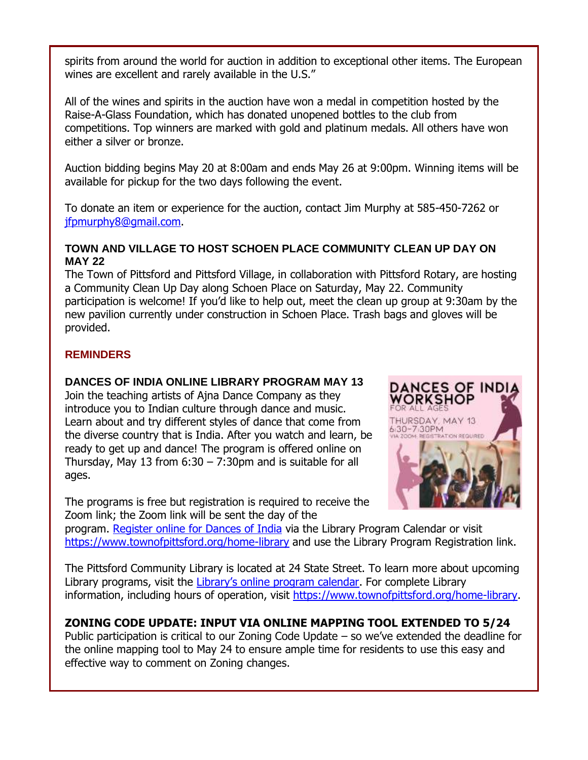spirits from around the world for auction in addition to exceptional other items. The European wines are excellent and rarely available in the U.S."

All of the wines and spirits in the auction have won a medal in competition hosted by the Raise-A-Glass Foundation, which has donated unopened bottles to the club from competitions. Top winners are marked with gold and platinum medals. All others have won either a silver or bronze.

Auction bidding begins May 20 at 8:00am and ends May 26 at 9:00pm. Winning items will be available for pickup for the two days following the event.

To donate an item or experience for the auction, contact Jim Murphy at 585-450-7262 or [jfpmurphy8@gmail.com.](mailto:jfpmurphy8@gmail.com)

### **TOWN AND VILLAGE TO HOST SCHOEN PLACE COMMUNITY CLEAN UP DAY ON MAY 22**

The Town of Pittsford and Pittsford Village, in collaboration with Pittsford Rotary, are hosting a Community Clean Up Day along Schoen Place on Saturday, May 22. Community participation is welcome! If you'd like to help out, meet the clean up group at 9:30am by the new pavilion currently under construction in Schoen Place. Trash bags and gloves will be provided.

### **REMINDERS**

### **DANCES OF INDIA ONLINE LIBRARY PROGRAM MAY 13**

Join the teaching artists of Ajna Dance Company as they introduce you to Indian culture through dance and music. Learn about and try different styles of dance that come from the diverse country that is India. After you watch and learn, be ready to get up and dance! The program is offered online on Thursday, May 13 from  $6:30 - 7:30$ pm and is suitable for all ages.

The programs is free but registration is required to receive the Zoom link; the Zoom link will be sent the day of the



program. [Register online for Dances of India](http://r20.rs6.net/tn.jsp?f=001O1Lm08_RKJCb6F1ZhWcH7nTxpScrpQ37GJOMbr4u9-fW5RaAwAEZwKNnPXRNqaFLzU3RmHiSCQj-e2PIGGlRwI6f0v2Dbhb6aVw_skByVOIC1YQo9RZ-MctI1Ch96QFy_SnUnOWrJKe5f7PdBv5DGRCmQXBj5YqgH9X2bSDkHQ0Gx8RU1vJJPw==&c=rHjRkhIWIakbYM0iyegcAGNFuX2OTQb9KXj8t4uWMV8DtkV81_bMKg==&ch=ie3LLoSIbjZxhonxklvSSGSz3c9Wd97dFL6ogjGZK3M1C3VKrlAKmw==&jrc=1) via the Library Program Calendar or visit [https://www.townofpittsford.org/home-library](http://https/www.townofpittsford.org/home-library) and use the Library Program Registration link.

The Pittsford Community Library is located at 24 State Street. To learn more about upcoming Library programs, visit the [Library's online program calendar](http://r20.rs6.net/tn.jsp?f=001O1Lm08_RKJCb6F1ZhWcH7nTxpScrpQ37GJOMbr4u9-fW5RaAwAEZwINV_3wl04AP2RIPWKdfdBWn_Iehp0h7wJtE_t1avofayBr3HpLbqxx-xLLDTxHs1QiUI3xjh5F1600F1njOBW0NzdSFglfCcrILRrBvzLlIdsQeGyNr0Foy512zW2VEOhngKHCrvnd_Q-oOvmPHKKMgaVYkFGkhwOxg9J8X6fDUeXl6C1YU5UbFNb6b4wk8JvHDRz4sFM2tW8q2l1wWe0Y=&c=rHjRkhIWIakbYM0iyegcAGNFuX2OTQb9KXj8t4uWMV8DtkV81_bMKg==&ch=ie3LLoSIbjZxhonxklvSSGSz3c9Wd97dFL6ogjGZK3M1C3VKrlAKmw==&jrc=1). For complete Library information, including hours of operation, visit [https://www.townofpittsford.org/home-library.](http://r20.rs6.net/tn.jsp?f=001O1Lm08_RKJCb6F1ZhWcH7nTxpScrpQ37GJOMbr4u9-fW5RaAwAEZwHDF_88pRFM5XihsnFao3pizr3m_Xomx73uKhokvUKmjVYo44qEbhozJVbetJVkdeYKxHI7CEUwMChZ1OmR-rSVrYtSlOri_HtHxpDZwFjX9gjNQM7v3Ks4=&c=rHjRkhIWIakbYM0iyegcAGNFuX2OTQb9KXj8t4uWMV8DtkV81_bMKg==&ch=ie3LLoSIbjZxhonxklvSSGSz3c9Wd97dFL6ogjGZK3M1C3VKrlAKmw==&jrc=1)

### **ZONING CODE UPDATE: INPUT VIA ONLINE MAPPING TOOL EXTENDED TO 5/24**

Public participation is critical to our Zoning Code Update – so we've extended the deadline for the online mapping tool to May 24 to ensure ample time for residents to use this easy and effective way to comment on Zoning changes.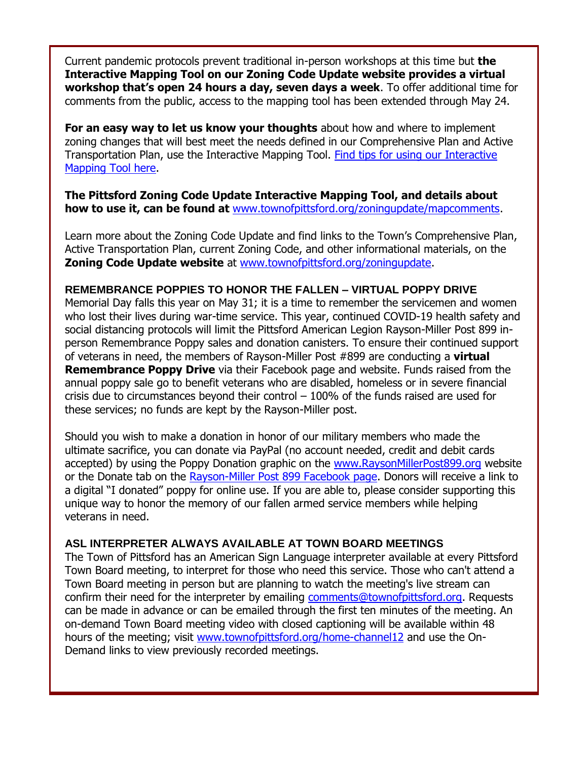Current pandemic protocols prevent traditional in-person workshops at this time but **the Interactive Mapping Tool on our Zoning Code Update website provides a virtual workshop that's open 24 hours a day, seven days a week**. To offer additional time for comments from the public, access to the mapping tool has been extended through May 24.

**For an easy way to let us know your thoughts** about how and where to implement zoning changes that will best meet the needs defined in our Comprehensive Plan and Active Transportation Plan, use the Interactive Mapping Tool. [Find tips for using our Interactive](http://r20.rs6.net/tn.jsp?f=001O1Lm08_RKJCb6F1ZhWcH7nTxpScrpQ37GJOMbr4u9-fW5RaAwAEZwKtoMHnmYPUaGfXnis9ANW0qBviJsSmPTHjoWiXC_PPAgZ9DmtT-ueZNkuBRVtLrmtcG195fYQV9lZcTjvnCVfMy0uluLHJMOc-6iC8T-bVG1u1rfLrcoAfBVeZNOwlCn7Kn-WHisurkYiUVy-5IIVM1jIz7dZqrwALeib0IYH9wPI3QIoiRrKLlX5WZJM5raw==&c=rHjRkhIWIakbYM0iyegcAGNFuX2OTQb9KXj8t4uWMV8DtkV81_bMKg==&ch=ie3LLoSIbjZxhonxklvSSGSz3c9Wd97dFL6ogjGZK3M1C3VKrlAKmw==&jrc=1)  [Mapping Tool here.](http://r20.rs6.net/tn.jsp?f=001O1Lm08_RKJCb6F1ZhWcH7nTxpScrpQ37GJOMbr4u9-fW5RaAwAEZwKtoMHnmYPUaGfXnis9ANW0qBviJsSmPTHjoWiXC_PPAgZ9DmtT-ueZNkuBRVtLrmtcG195fYQV9lZcTjvnCVfMy0uluLHJMOc-6iC8T-bVG1u1rfLrcoAfBVeZNOwlCn7Kn-WHisurkYiUVy-5IIVM1jIz7dZqrwALeib0IYH9wPI3QIoiRrKLlX5WZJM5raw==&c=rHjRkhIWIakbYM0iyegcAGNFuX2OTQb9KXj8t4uWMV8DtkV81_bMKg==&ch=ie3LLoSIbjZxhonxklvSSGSz3c9Wd97dFL6ogjGZK3M1C3VKrlAKmw==&jrc=1)

### **The Pittsford Zoning Code Update Interactive Mapping Tool, and details about how to use it, can be found at** [www.townofpittsford.org/zoningupdate/mapcomments.](http://r20.rs6.net/tn.jsp?f=001O1Lm08_RKJCb6F1ZhWcH7nTxpScrpQ37GJOMbr4u9-fW5RaAwAEZwMM8iNE3MV2n6p4w9jgiX6o2a2gEFf3eFhqBt6quG6j3YVjBoRlijThKfLZypKOwEon6QlllzZffzYdrXA_5NvMnqVPnvCuZxGKYGh0fb3WUGQi0e2fHlz8UzqbxLmal8vsA6pE12HxY&c=rHjRkhIWIakbYM0iyegcAGNFuX2OTQb9KXj8t4uWMV8DtkV81_bMKg==&ch=ie3LLoSIbjZxhonxklvSSGSz3c9Wd97dFL6ogjGZK3M1C3VKrlAKmw==&jrc=1)

Learn more about the Zoning Code Update and find links to the Town's Comprehensive Plan, Active Transportation Plan, current Zoning Code, and other informational materials, on the **Zoning Code Update website** at [www.townofpittsford.org/zoningupdate.](http://r20.rs6.net/tn.jsp?f=001O1Lm08_RKJCb6F1ZhWcH7nTxpScrpQ37GJOMbr4u9-fW5RaAwAEZwDVzJARpnjNfE_Hmqn-fz2mc06WNmB702-XPhawdxU_ftl9qBnYW9lU14HzMUMRAQVmJTjJNc8JJiMboy6CXlRaZAAYwGlTGyebsy3oVWvfVCJLODYVKB2RLcciTleV31IIMxiCKfzeU2VeM3ejGWqCnp9OWgTLgA8x1kgpXAvNBa7akv6xRYxl30_Ft_hTeVcbltMmt6c5ThA9n0lPv90mU7jEB8UleA7VDwaTsMu-7KPaY_PLpdqEFbCftglr_riDkNNmAmDe4Cn590au7q0sYUIGw0NwLAIU1fcJ_m5yFkglIq16bvC5N3dAKseuP1ctFKe9UubxOYjyGwh2P0kicHr9-RKZfZVifeLs1FhVM7sZl3-LV7TT0gElnuDjm0uwbImErrR0CJBrZepxxXzOz7AN50BU53JJW0ytJtpVaR59WPAh52swxzdDEV7mdBW8yKW9neUU8Voofv9-VvUpN3kxjUfWLP5aaVwAP-NNvpBaiQx5ljeMa7e-nJxceTysOPXZL-CviJHBB1HisqMMrf8wV0DQsCFmmNxG2WIAQpEMabhO9vEsH9GzGU0j70YuuNgDWFwNux8ofLwrMbPimYae_Rz40uV841Frc53-i5epYRrUxLaRuQLuCLqkivuUHCWcAMfdp8lB8E7n64LMJ9ztjMONxnbgJiqViMhB9MK-0_QGRctDD3vE6VB_5ur7gTdpkzK7k44XpEqgieKX7VkM1lLGBACOlKLgL3CxsbkIZuhgaxIW_5yFsK6iYJvdxzif3RvdiNdI-A2Qk7V4=&c=rHjRkhIWIakbYM0iyegcAGNFuX2OTQb9KXj8t4uWMV8DtkV81_bMKg==&ch=ie3LLoSIbjZxhonxklvSSGSz3c9Wd97dFL6ogjGZK3M1C3VKrlAKmw==&jrc=1)

### **REMEMBRANCE POPPIES TO HONOR THE FALLEN – VIRTUAL POPPY DRIVE**

Memorial Day falls this year on May 31; it is a time to remember the servicemen and women who lost their lives during war-time service. This year, continued COVID-19 health safety and social distancing protocols will limit the Pittsford American Legion Rayson-Miller Post 899 inperson Remembrance Poppy sales and donation canisters. To ensure their continued support of veterans in need, the members of Rayson-Miller Post #899 are conducting a **virtual Remembrance Poppy Drive** via their Facebook page and website. Funds raised from the annual poppy sale go to benefit veterans who are disabled, homeless or in severe financial crisis due to circumstances beyond their control  $-100\%$  of the funds raised are used for these services; no funds are kept by the Rayson-Miller post.

Should you wish to make a donation in honor of our military members who made the ultimate sacrifice, you can donate via PayPal (no account needed, credit and debit cards accepted) by using the Poppy Donation graphic on the [www.RaysonMillerPost899.org](http://r20.rs6.net/tn.jsp?f=001O1Lm08_RKJCb6F1ZhWcH7nTxpScrpQ37GJOMbr4u9-fW5RaAwAEZwKnzcLrIQov_5zAqUIWA0ttybu_QfC2HICAgaw2arCuMmzRlGH1QURowYQjyzgRN0eMuIM-c9fj-AkcVzXREXBnfQcJowUhz0u8liPYofUsL&c=rHjRkhIWIakbYM0iyegcAGNFuX2OTQb9KXj8t4uWMV8DtkV81_bMKg==&ch=ie3LLoSIbjZxhonxklvSSGSz3c9Wd97dFL6ogjGZK3M1C3VKrlAKmw==&jrc=1) website or the Donate tab on the [Rayson-Miller Post 899 Facebook page.](http://r20.rs6.net/tn.jsp?f=001O1Lm08_RKJCb6F1ZhWcH7nTxpScrpQ37GJOMbr4u9-fW5RaAwAEZwFGBVegI8XibpEbTqqHKahhGeA6IciS0-VIJCMRlkc44__n9vfAj7YKwbnmv_gZk1uHzrQYo3mNW7siYFkZurtoq1Q7eGClYygwGJAfcZ2X69TOLp4nyHF-YY5GIxSlhIQ==&c=rHjRkhIWIakbYM0iyegcAGNFuX2OTQb9KXj8t4uWMV8DtkV81_bMKg==&ch=ie3LLoSIbjZxhonxklvSSGSz3c9Wd97dFL6ogjGZK3M1C3VKrlAKmw==&jrc=1) Donors will receive a link to a digital "I donated" poppy for online use. If you are able to, please consider supporting this unique way to honor the memory of our fallen armed service members while helping veterans in need.

### **ASL INTERPRETER ALWAYS AVAILABLE AT TOWN BOARD MEETINGS**

The Town of Pittsford has an American Sign Language interpreter available at every Pittsford Town Board meeting, to interpret for those who need this service. Those who can't attend a Town Board meeting in person but are planning to watch the meeting's live stream can confirm their need for the interpreter by emailing [comments@townofpittsford.org.](mailto:comments@townofpittsford.org?subject=ASL%20interperter%20request%20for%20Town%20Board%20meeting) Requests can be made in advance or can be emailed through the first ten minutes of the meeting. An on-demand Town Board meeting video with closed captioning will be available within 48 hours of the meeting; visit [www.townofpittsford.org/home-channel12](http://r20.rs6.net/tn.jsp?f=001O1Lm08_RKJCb6F1ZhWcH7nTxpScrpQ37GJOMbr4u9-fW5RaAwAEZwBoPZKIxv81HfUTnltsZk-qR1W4kAikUlDnVTZEDF_1WW27r8BVMIUCixZ0n6Kx8gfFIU-SVyhzSDMujQ7qkyAwcX7TusKPaEQFuSbap4fuylfu4PlnTUsU=&c=rHjRkhIWIakbYM0iyegcAGNFuX2OTQb9KXj8t4uWMV8DtkV81_bMKg==&ch=ie3LLoSIbjZxhonxklvSSGSz3c9Wd97dFL6ogjGZK3M1C3VKrlAKmw==&jrc=1) and use the On-Demand links to view previously recorded meetings.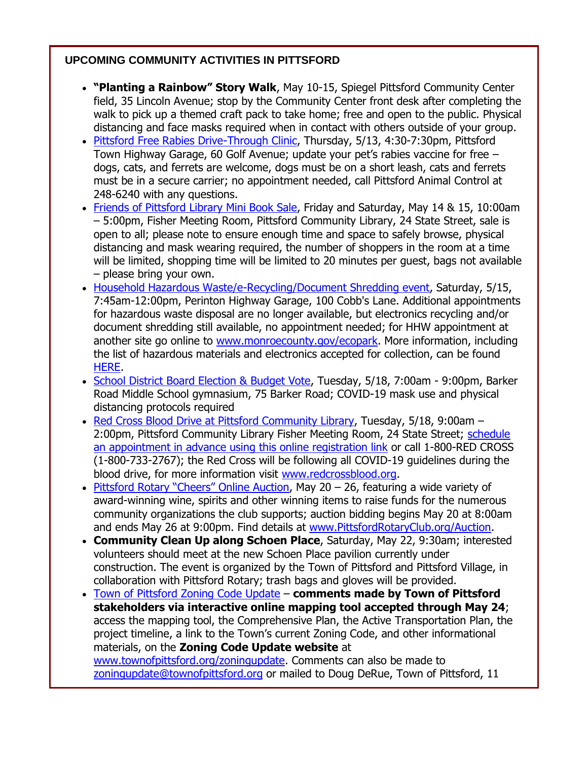### **UPCOMING COMMUNITY ACTIVITIES IN PITTSFORD**

- **"Planting a Rainbow" Story Walk**, May 10-15, Spiegel Pittsford Community Center field, 35 Lincoln Avenue; stop by the Community Center front desk after completing the walk to pick up a themed craft pack to take home; free and open to the public. Physical distancing and face masks required when in contact with others outside of your group.
- [Pittsford Free Rabies Drive-Through Clinic,](http://r20.rs6.net/tn.jsp?f=001O1Lm08_RKJCb6F1ZhWcH7nTxpScrpQ37GJOMbr4u9-fW5RaAwAEZwFP7bi3mPZzSxQzpcpWiX-U5qtIbxBDbXJQ7Rkkx78Dja6zBOfrY4fJDXR5W3j9Xg9y68z3KrJvMrkmM1deNSvod0sHJ90WdUSkptzUJE9VRxBnPpR-67eRyIm6yfhQAW7SHwtaCbUecfEijckeC7jFFLFSK3lJwev87VR-sqLPb&c=rHjRkhIWIakbYM0iyegcAGNFuX2OTQb9KXj8t4uWMV8DtkV81_bMKg==&ch=ie3LLoSIbjZxhonxklvSSGSz3c9Wd97dFL6ogjGZK3M1C3VKrlAKmw==&jrc=1) Thursday, 5/13, 4:30-7:30pm, Pittsford Town Highway Garage, 60 Golf Avenue; update your pet's rabies vaccine for free – dogs, cats, and ferrets are welcome, dogs must be on a short leash, cats and ferrets must be in a secure carrier; no appointment needed, call Pittsford Animal Control at 248-6240 with any questions.
- [Friends of Pittsford Library Mini Book Sale,](http://r20.rs6.net/tn.jsp?f=001O1Lm08_RKJCb6F1ZhWcH7nTxpScrpQ37GJOMbr4u9-fW5RaAwAEZwB4fsDuUQ2Rxgr0rlGckgrpwrhQvL4tGsXn6QZhVhI2rVgPsR4Fu2U3KKVoU9h39r8vY6t6ZvyyCfmJ-V95ZkRjJEH0TtzA6VofwRJOft9Nn&c=rHjRkhIWIakbYM0iyegcAGNFuX2OTQb9KXj8t4uWMV8DtkV81_bMKg==&ch=ie3LLoSIbjZxhonxklvSSGSz3c9Wd97dFL6ogjGZK3M1C3VKrlAKmw==&jrc=1) Friday and Saturday, May 14 & 15, 10:00am – 5:00pm, Fisher Meeting Room, Pittsford Community Library, 24 State Street, sale is open to all; please note to ensure enough time and space to safely browse, physical distancing and mask wearing required, the number of shoppers in the room at a time will be limited, shopping time will be limited to 20 minutes per guest, bags not available – please bring your own.
- [Household Hazardous Waste/e-Recycling/Document Shredding event,](http://r20.rs6.net/tn.jsp?f=001O1Lm08_RKJCb6F1ZhWcH7nTxpScrpQ37GJOMbr4u9-fW5RaAwAEZwMGyUZVNbYymRpRJrCyBl9pf8VJ2hrmYPnV9POiK51UaoGASpJhMuK0ksVlnD2QuPA_bfyd0bX7NLXzciDo4F1P1Kn-kFm0i4yOIJeTzSW4-YiylA9fdTH0PYdLxhiruoYNiDl8xvwzpnhzhqo8mz9t3Gr8MoapdpveUtUdpmMrN&c=rHjRkhIWIakbYM0iyegcAGNFuX2OTQb9KXj8t4uWMV8DtkV81_bMKg==&ch=ie3LLoSIbjZxhonxklvSSGSz3c9Wd97dFL6ogjGZK3M1C3VKrlAKmw==&jrc=1) Saturday, 5/15, 7:45am-12:00pm, Perinton Highway Garage, 100 Cobb's Lane. Additional appointments for hazardous waste disposal are no longer available, but electronics recycling and/or document shredding still available, no appointment needed; for HHW appointment at another site go online to [www.monroecounty.gov/ecopark.](http://r20.rs6.net/tn.jsp?f=001O1Lm08_RKJCb6F1ZhWcH7nTxpScrpQ37GJOMbr4u9-fW5RaAwAEZwKxfg9sCWRxmJ4gzj-PtLiIKOIv-waZPlSiln4ep9_ReLNBwJwO921e37DjYob43t_SnOyek_2jgYj8qSAGxqIwyjskRiFv4jete9OerYEsx&c=rHjRkhIWIakbYM0iyegcAGNFuX2OTQb9KXj8t4uWMV8DtkV81_bMKg==&ch=ie3LLoSIbjZxhonxklvSSGSz3c9Wd97dFL6ogjGZK3M1C3VKrlAKmw==&jrc=1) More information, including the list of hazardous materials and electronics accepted for collection, can be found [HERE.](http://r20.rs6.net/tn.jsp?f=001O1Lm08_RKJCb6F1ZhWcH7nTxpScrpQ37GJOMbr4u9-fW5RaAwAEZwMGyUZVNbYymRpRJrCyBl9pf8VJ2hrmYPnV9POiK51UaoGASpJhMuK0ksVlnD2QuPA_bfyd0bX7NLXzciDo4F1P1Kn-kFm0i4yOIJeTzSW4-YiylA9fdTH0PYdLxhiruoYNiDl8xvwzpnhzhqo8mz9t3Gr8MoapdpveUtUdpmMrN&c=rHjRkhIWIakbYM0iyegcAGNFuX2OTQb9KXj8t4uWMV8DtkV81_bMKg==&ch=ie3LLoSIbjZxhonxklvSSGSz3c9Wd97dFL6ogjGZK3M1C3VKrlAKmw==&jrc=1)
- [School District Board Election & Budget Vote,](http://r20.rs6.net/tn.jsp?f=001O1Lm08_RKJCb6F1ZhWcH7nTxpScrpQ37GJOMbr4u9-fW5RaAwAEZwDVzJARpnjNfhYwpZtqPfWXewm7MN0Qqqr2YzkBo3DMt_oINKVdKb3B30jeFxQOKWdGw-N3Wp7aZsyHZ6YFPSXz-SPPXJ_-nnHUUD53ucZUe994mKzxuaaQeD3YijhAKzRvxwGhfE2JEzyP3XJxtDD9fu7TegzJ_WNXtX1D7Y5qmEsVkXcSom5MHLmV6mXsj2BlvLr65XKHwlLeLIqku-bQKm0twBmNxeeeXzRYyUGm9eoDyAPHGWz5vz2z9vCSIiJ_giuKKrJR5IgZ3rntGFhGWx-E-qaYFLMhO8en8syjpyKOsqx5OD_AL82yDIJFjYi5kbb8qYVxz0V9V3fkp05A=&c=rHjRkhIWIakbYM0iyegcAGNFuX2OTQb9KXj8t4uWMV8DtkV81_bMKg==&ch=ie3LLoSIbjZxhonxklvSSGSz3c9Wd97dFL6ogjGZK3M1C3VKrlAKmw==&jrc=1) Tuesday, 5/18, 7:00am 9:00pm, Barker Road Middle School gymnasium, 75 Barker Road; COVID-19 mask use and physical distancing protocols required
- [Red Cross Blood Drive at Pittsford Community Library,](http://r20.rs6.net/tn.jsp?f=001O1Lm08_RKJCb6F1ZhWcH7nTxpScrpQ37GJOMbr4u9-fW5RaAwAEZwNlutTPbwJ-yUhrQwW_3myLHLGAj8seG4o5BfSJ3_01yeQi6XB0wKurgQNhcDN5zxJKJAzuOY5ieZ37rW8FnCUBn-sD5-R092f_5m4RDbT4hjwr14n4HEwrZMBnMglu-ITAkV12jJYNbOXzpqqYbfXsmDN1rUwxBfyERaIJQRCBgbnWsmop0uLs=&c=rHjRkhIWIakbYM0iyegcAGNFuX2OTQb9KXj8t4uWMV8DtkV81_bMKg==&ch=ie3LLoSIbjZxhonxklvSSGSz3c9Wd97dFL6ogjGZK3M1C3VKrlAKmw==&jrc=1) Tuesday, 5/18, 9:00am -2:00pm, Pittsford Community Library Fisher Meeting Room, 24 State Street; schedule [an appointment in advance using this online registration link](http://r20.rs6.net/tn.jsp?f=001O1Lm08_RKJCb6F1ZhWcH7nTxpScrpQ37GJOMbr4u9-fW5RaAwAEZwNlutTPbwJ-yUhrQwW_3myLHLGAj8seG4o5BfSJ3_01yeQi6XB0wKurgQNhcDN5zxJKJAzuOY5ieZ37rW8FnCUBn-sD5-R092f_5m4RDbT4hjwr14n4HEwrZMBnMglu-ITAkV12jJYNbOXzpqqYbfXsmDN1rUwxBfyERaIJQRCBgbnWsmop0uLs=&c=rHjRkhIWIakbYM0iyegcAGNFuX2OTQb9KXj8t4uWMV8DtkV81_bMKg==&ch=ie3LLoSIbjZxhonxklvSSGSz3c9Wd97dFL6ogjGZK3M1C3VKrlAKmw==&jrc=1) or call 1-800-RED CROSS (1-800-733-2767); the Red Cross will be following all COVID-19 guidelines during the blood drive, for more information visit [www.redcrossblood.org.](http://www.redcrossblood.org/)
- [Pittsford Rotary "Cheers" Onlin](http://r20.rs6.net/tn.jsp?f=001O1Lm08_RKJCb6F1ZhWcH7nTxpScrpQ37GJOMbr4u9-fW5RaAwAEZwDVzJARpnjNfW7b3mOoeSHIIM7VaFTO0OM0gbQT76TTT79n1SztkFUwIIginLX4eZ1WcXQOGxqxcaXymRJUKisUo3FnnFrH245s2EsxRgesyp12DehSf1zA=&c=rHjRkhIWIakbYM0iyegcAGNFuX2OTQb9KXj8t4uWMV8DtkV81_bMKg==&ch=ie3LLoSIbjZxhonxklvSSGSz3c9Wd97dFL6ogjGZK3M1C3VKrlAKmw==&jrc=1)e Auction, May  $20 26$ , featuring a wide variety of award-winning wine, spirits and other winning items to raise funds for the numerous community organizations the club supports; auction bidding begins May 20 at 8:00am and ends May 26 at 9:00pm. Find details at [www.PittsfordRotaryClub.org/Auction.](http://r20.rs6.net/tn.jsp?f=001O1Lm08_RKJCb6F1ZhWcH7nTxpScrpQ37GJOMbr4u9-fW5RaAwAEZwDVzJARpnjNfW7b3mOoeSHIIM7VaFTO0OM0gbQT76TTT79n1SztkFUwIIginLX4eZ1WcXQOGxqxcaXymRJUKisUo3FnnFrH245s2EsxRgesyp12DehSf1zA=&c=rHjRkhIWIakbYM0iyegcAGNFuX2OTQb9KXj8t4uWMV8DtkV81_bMKg==&ch=ie3LLoSIbjZxhonxklvSSGSz3c9Wd97dFL6ogjGZK3M1C3VKrlAKmw==&jrc=1)
- **Community Clean Up along Schoen Place**, Saturday, May 22, 9:30am; interested volunteers should meet at the new Schoen Place pavilion currently under construction. The event is organized by the Town of Pittsford and Pittsford Village, in collaboration with Pittsford Rotary; trash bags and gloves will be provided.
- [Town of Pittsford Zoning Code Update](http://r20.rs6.net/tn.jsp?f=001O1Lm08_RKJCb6F1ZhWcH7nTxpScrpQ37GJOMbr4u9-fW5RaAwAEZwN77bzgVMlsTkxCiY4Cn9yGypOrjdGPJsmg8uV9qzrX4oYM-cpwWoVpTV71ZgZRLiBGNtfACx1pJv_lMkSUTrDkKc3MTjIWX1cRduZKUiNE6vVSeN5M-gmQ=&c=rHjRkhIWIakbYM0iyegcAGNFuX2OTQb9KXj8t4uWMV8DtkV81_bMKg==&ch=ie3LLoSIbjZxhonxklvSSGSz3c9Wd97dFL6ogjGZK3M1C3VKrlAKmw==&jrc=1) **comments made by Town of Pittsford stakeholders via interactive online mapping tool accepted through May 24**; access the mapping tool, the Comprehensive Plan, the Active Transportation Plan, the project timeline, a link to the Town's current Zoning Code, and other informational materials, on the **Zoning Code Update website** at [www.townofpittsford.org/zoningupdate.](http://r20.rs6.net/tn.jsp?f=001O1Lm08_RKJCb6F1ZhWcH7nTxpScrpQ37GJOMbr4u9-fW5RaAwAEZwN77bzgVMlsTkxCiY4Cn9yGypOrjdGPJsmg8uV9qzrX4oYM-cpwWoVpTV71ZgZRLiBGNtfACx1pJv_lMkSUTrDkKc3MTjIWX1cRduZKUiNE6vVSeN5M-gmQ=&c=rHjRkhIWIakbYM0iyegcAGNFuX2OTQb9KXj8t4uWMV8DtkV81_bMKg==&ch=ie3LLoSIbjZxhonxklvSSGSz3c9Wd97dFL6ogjGZK3M1C3VKrlAKmw==&jrc=1) Comments can also be made to [zoningupdate@townofpittsford.org](mailto:zoningupdate@townofpittsford.org) or mailed to Doug DeRue, Town of Pittsford, 11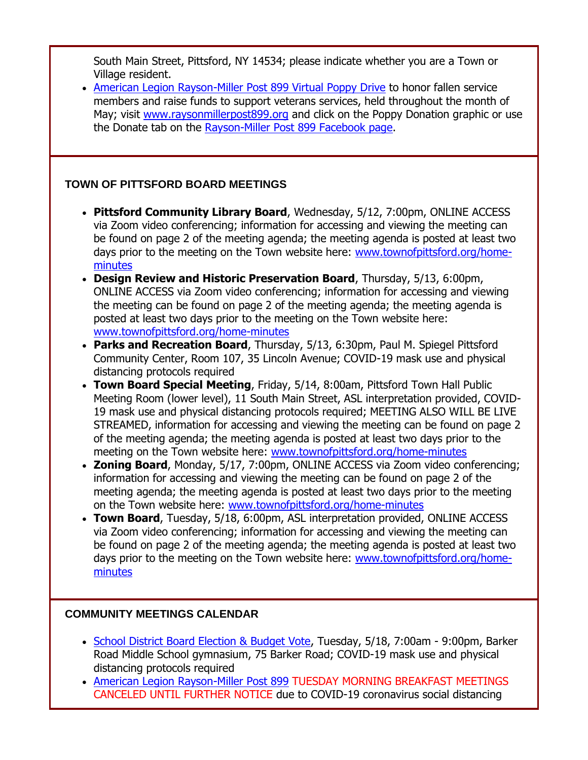South Main Street, Pittsford, NY 14534; please indicate whether you are a Town or Village resident.

• [American Legion Rayson-Miller Post 899 Virtual Poppy Drive](http://r20.rs6.net/tn.jsp?f=001O1Lm08_RKJCb6F1ZhWcH7nTxpScrpQ37GJOMbr4u9-fW5RaAwAEZwKnzcLrIQov_5zAqUIWA0ttybu_QfC2HICAgaw2arCuMmzRlGH1QURowYQjyzgRN0eMuIM-c9fj-AkcVzXREXBnfQcJowUhz0u8liPYofUsL&c=rHjRkhIWIakbYM0iyegcAGNFuX2OTQb9KXj8t4uWMV8DtkV81_bMKg==&ch=ie3LLoSIbjZxhonxklvSSGSz3c9Wd97dFL6ogjGZK3M1C3VKrlAKmw==&jrc=1) to honor fallen service members and raise funds to support veterans services, held throughout the month of May; visit [www.raysonmillerpost899.org](http://r20.rs6.net/tn.jsp?f=001O1Lm08_RKJCb6F1ZhWcH7nTxpScrpQ37GJOMbr4u9-fW5RaAwAEZwKnzcLrIQov_5zAqUIWA0ttybu_QfC2HICAgaw2arCuMmzRlGH1QURowYQjyzgRN0eMuIM-c9fj-AkcVzXREXBnfQcJowUhz0u8liPYofUsL&c=rHjRkhIWIakbYM0iyegcAGNFuX2OTQb9KXj8t4uWMV8DtkV81_bMKg==&ch=ie3LLoSIbjZxhonxklvSSGSz3c9Wd97dFL6ogjGZK3M1C3VKrlAKmw==&jrc=1) and click on the Poppy Donation graphic or use the Donate tab on the [Rayson-Miller Post 899 Facebook page.](http://r20.rs6.net/tn.jsp?f=001O1Lm08_RKJCb6F1ZhWcH7nTxpScrpQ37GJOMbr4u9-fW5RaAwAEZwFGBVegI8XibpEbTqqHKahhGeA6IciS0-VIJCMRlkc44__n9vfAj7YKwbnmv_gZk1uHzrQYo3mNW7siYFkZurtoq1Q7eGClYygwGJAfcZ2X69TOLp4nyHF-YY5GIxSlhIQ==&c=rHjRkhIWIakbYM0iyegcAGNFuX2OTQb9KXj8t4uWMV8DtkV81_bMKg==&ch=ie3LLoSIbjZxhonxklvSSGSz3c9Wd97dFL6ogjGZK3M1C3VKrlAKmw==&jrc=1)

### **TOWN OF PITTSFORD BOARD MEETINGS**

- **Pittsford Community Library Board**, Wednesday, 5/12, 7:00pm, ONLINE ACCESS via Zoom video conferencing; information for accessing and viewing the meeting can be found on page 2 of the meeting agenda; the meeting agenda is posted at least two days prior to the meeting on the Town website here: [www.townofpittsford.org/home](http://r20.rs6.net/tn.jsp?f=001O1Lm08_RKJCb6F1ZhWcH7nTxpScrpQ37GJOMbr4u9-fW5RaAwAEZwKu2xgKqAKT2gteT7smN05urw-I8B_e1yjuEkoV5h_HJZM0OPCc7ikzdLPLik5smIqFKeW5-INGNX9LLFin2f75oHWe4Jogwlh1ve1d2YR6e-P2QR79u26U=&c=rHjRkhIWIakbYM0iyegcAGNFuX2OTQb9KXj8t4uWMV8DtkV81_bMKg==&ch=ie3LLoSIbjZxhonxklvSSGSz3c9Wd97dFL6ogjGZK3M1C3VKrlAKmw==&jrc=1)[minutes](http://r20.rs6.net/tn.jsp?f=001O1Lm08_RKJCb6F1ZhWcH7nTxpScrpQ37GJOMbr4u9-fW5RaAwAEZwKu2xgKqAKT2gteT7smN05urw-I8B_e1yjuEkoV5h_HJZM0OPCc7ikzdLPLik5smIqFKeW5-INGNX9LLFin2f75oHWe4Jogwlh1ve1d2YR6e-P2QR79u26U=&c=rHjRkhIWIakbYM0iyegcAGNFuX2OTQb9KXj8t4uWMV8DtkV81_bMKg==&ch=ie3LLoSIbjZxhonxklvSSGSz3c9Wd97dFL6ogjGZK3M1C3VKrlAKmw==&jrc=1)
- **Design Review and Historic Preservation Board**, Thursday, 5/13, 6:00pm, ONLINE ACCESS via Zoom video conferencing; information for accessing and viewing the meeting can be found on page 2 of the meeting agenda; the meeting agenda is posted at least two days prior to the meeting on the Town website here: [www.townofpittsford.org/home-minutes](http://r20.rs6.net/tn.jsp?f=001O1Lm08_RKJCb6F1ZhWcH7nTxpScrpQ37GJOMbr4u9-fW5RaAwAEZwKu2xgKqAKT2gteT7smN05urw-I8B_e1yjuEkoV5h_HJZM0OPCc7ikzdLPLik5smIqFKeW5-INGNX9LLFin2f75oHWe4Jogwlh1ve1d2YR6e-P2QR79u26U=&c=rHjRkhIWIakbYM0iyegcAGNFuX2OTQb9KXj8t4uWMV8DtkV81_bMKg==&ch=ie3LLoSIbjZxhonxklvSSGSz3c9Wd97dFL6ogjGZK3M1C3VKrlAKmw==&jrc=1)
- **Parks and Recreation Board**, Thursday, 5/13, 6:30pm, Paul M. Spiegel Pittsford Community Center, Room 107, 35 Lincoln Avenue; COVID-19 mask use and physical distancing protocols required
- **Town Board Special Meeting**, Friday, 5/14, 8:00am, Pittsford Town Hall Public Meeting Room (lower level), 11 South Main Street, ASL interpretation provided, COVID-19 mask use and physical distancing protocols required; MEETING ALSO WILL BE LIVE STREAMED, information for accessing and viewing the meeting can be found on page 2 of the meeting agenda; the meeting agenda is posted at least two days prior to the meeting on the Town website here: [www.townofpittsford.org/home-minutes](http://r20.rs6.net/tn.jsp?f=001O1Lm08_RKJCb6F1ZhWcH7nTxpScrpQ37GJOMbr4u9-fW5RaAwAEZwKu2xgKqAKT2gteT7smN05urw-I8B_e1yjuEkoV5h_HJZM0OPCc7ikzdLPLik5smIqFKeW5-INGNX9LLFin2f75oHWe4Jogwlh1ve1d2YR6e-P2QR79u26U=&c=rHjRkhIWIakbYM0iyegcAGNFuX2OTQb9KXj8t4uWMV8DtkV81_bMKg==&ch=ie3LLoSIbjZxhonxklvSSGSz3c9Wd97dFL6ogjGZK3M1C3VKrlAKmw==&jrc=1)
- **Zoning Board**, Monday, 5/17, 7:00pm, ONLINE ACCESS via Zoom video conferencing; information for accessing and viewing the meeting can be found on page 2 of the meeting agenda; the meeting agenda is posted at least two days prior to the meeting on the Town website here: [www.townofpittsford.org/home-minutes](http://r20.rs6.net/tn.jsp?f=001O1Lm08_RKJCb6F1ZhWcH7nTxpScrpQ37GJOMbr4u9-fW5RaAwAEZwKu2xgKqAKT2gteT7smN05urw-I8B_e1yjuEkoV5h_HJZM0OPCc7ikzdLPLik5smIqFKeW5-INGNX9LLFin2f75oHWe4Jogwlh1ve1d2YR6e-P2QR79u26U=&c=rHjRkhIWIakbYM0iyegcAGNFuX2OTQb9KXj8t4uWMV8DtkV81_bMKg==&ch=ie3LLoSIbjZxhonxklvSSGSz3c9Wd97dFL6ogjGZK3M1C3VKrlAKmw==&jrc=1)
- **Town Board**, Tuesday, 5/18, 6:00pm, ASL interpretation provided, ONLINE ACCESS via Zoom video conferencing; information for accessing and viewing the meeting can be found on page 2 of the meeting agenda; the meeting agenda is posted at least two days prior to the meeting on the Town website here: [www.townofpittsford.org/home](http://r20.rs6.net/tn.jsp?f=001O1Lm08_RKJCb6F1ZhWcH7nTxpScrpQ37GJOMbr4u9-fW5RaAwAEZwKu2xgKqAKT2gteT7smN05urw-I8B_e1yjuEkoV5h_HJZM0OPCc7ikzdLPLik5smIqFKeW5-INGNX9LLFin2f75oHWe4Jogwlh1ve1d2YR6e-P2QR79u26U=&c=rHjRkhIWIakbYM0iyegcAGNFuX2OTQb9KXj8t4uWMV8DtkV81_bMKg==&ch=ie3LLoSIbjZxhonxklvSSGSz3c9Wd97dFL6ogjGZK3M1C3VKrlAKmw==&jrc=1)[minutes](http://r20.rs6.net/tn.jsp?f=001O1Lm08_RKJCb6F1ZhWcH7nTxpScrpQ37GJOMbr4u9-fW5RaAwAEZwKu2xgKqAKT2gteT7smN05urw-I8B_e1yjuEkoV5h_HJZM0OPCc7ikzdLPLik5smIqFKeW5-INGNX9LLFin2f75oHWe4Jogwlh1ve1d2YR6e-P2QR79u26U=&c=rHjRkhIWIakbYM0iyegcAGNFuX2OTQb9KXj8t4uWMV8DtkV81_bMKg==&ch=ie3LLoSIbjZxhonxklvSSGSz3c9Wd97dFL6ogjGZK3M1C3VKrlAKmw==&jrc=1)

### **COMMUNITY MEETINGS CALENDAR**

- [School District Board Election & Budget Vote,](http://r20.rs6.net/tn.jsp?f=001O1Lm08_RKJCb6F1ZhWcH7nTxpScrpQ37GJOMbr4u9-fW5RaAwAEZwDVzJARpnjNfhYwpZtqPfWXewm7MN0Qqqr2YzkBo3DMt_oINKVdKb3B30jeFxQOKWdGw-N3Wp7aZsyHZ6YFPSXz-SPPXJ_-nnHUUD53ucZUe994mKzxuaaQeD3YijhAKzRvxwGhfE2JEzyP3XJxtDD9fu7TegzJ_WNXtX1D7Y5qmEsVkXcSom5MHLmV6mXsj2BlvLr65XKHwlLeLIqku-bQKm0twBmNxeeeXzRYyUGm9eoDyAPHGWz5vz2z9vCSIiJ_giuKKrJR5IgZ3rntGFhGWx-E-qaYFLMhO8en8syjpyKOsqx5OD_AL82yDIJFjYi5kbb8qYVxz0V9V3fkp05A=&c=rHjRkhIWIakbYM0iyegcAGNFuX2OTQb9KXj8t4uWMV8DtkV81_bMKg==&ch=ie3LLoSIbjZxhonxklvSSGSz3c9Wd97dFL6ogjGZK3M1C3VKrlAKmw==&jrc=1) Tuesday, 5/18, 7:00am 9:00pm, Barker Road Middle School gymnasium, 75 Barker Road; COVID-19 mask use and physical distancing protocols required
- [American Legion Rayson-Miller Post 899](http://r20.rs6.net/tn.jsp?f=001O1Lm08_RKJCb6F1ZhWcH7nTxpScrpQ37GJOMbr4u9-fW5RaAwAEZwB4fsDuUQ2RxboL9O2kVLSKzbNxOQ993yTMgUUKQLPImlABQPD6neuzRV91BsFNVvLONvCLqQFjUKJRT4FqSeqa1qHVkXiOW5XHGwxSojw_a&c=rHjRkhIWIakbYM0iyegcAGNFuX2OTQb9KXj8t4uWMV8DtkV81_bMKg==&ch=ie3LLoSIbjZxhonxklvSSGSz3c9Wd97dFL6ogjGZK3M1C3VKrlAKmw==&jrc=1) TUESDAY MORNING BREAKFAST MEETINGS CANCELED UNTIL FURTHER NOTICE due to COVID-19 coronavirus social distancing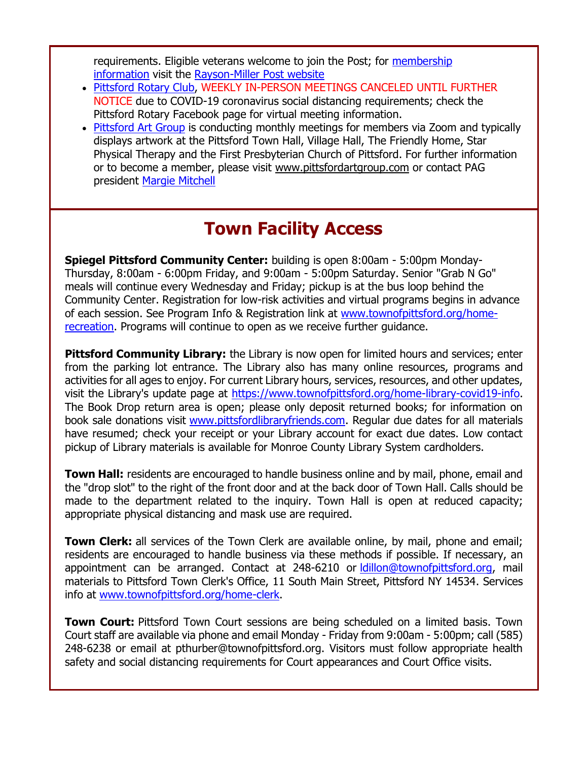requirements. Eligible veterans welcome to join the Post; for [membership](http://r20.rs6.net/tn.jsp?f=001O1Lm08_RKJCb6F1ZhWcH7nTxpScrpQ37GJOMbr4u9-fW5RaAwAEZwB4fsDuUQ2RxotMUEuGHhYiB2imNk8UNhTQ0koVCSevkB4aWGmBM2pSEJdqJPSHFc6YA5-ndXZgfVzmnAmXo4yCM__EDFfIAyYkVPHiQ4BOWlJVAIf3RXrQPKN3kcw0c135c1w9N26gO&c=rHjRkhIWIakbYM0iyegcAGNFuX2OTQb9KXj8t4uWMV8DtkV81_bMKg==&ch=ie3LLoSIbjZxhonxklvSSGSz3c9Wd97dFL6ogjGZK3M1C3VKrlAKmw==&jrc=1)  [information](http://r20.rs6.net/tn.jsp?f=001O1Lm08_RKJCb6F1ZhWcH7nTxpScrpQ37GJOMbr4u9-fW5RaAwAEZwB4fsDuUQ2RxotMUEuGHhYiB2imNk8UNhTQ0koVCSevkB4aWGmBM2pSEJdqJPSHFc6YA5-ndXZgfVzmnAmXo4yCM__EDFfIAyYkVPHiQ4BOWlJVAIf3RXrQPKN3kcw0c135c1w9N26gO&c=rHjRkhIWIakbYM0iyegcAGNFuX2OTQb9KXj8t4uWMV8DtkV81_bMKg==&ch=ie3LLoSIbjZxhonxklvSSGSz3c9Wd97dFL6ogjGZK3M1C3VKrlAKmw==&jrc=1) visit the [Rayson-Miller Post website](http://r20.rs6.net/tn.jsp?f=001O1Lm08_RKJCb6F1ZhWcH7nTxpScrpQ37GJOMbr4u9-fW5RaAwAEZwGl95d6XQto2EJ7n9E2RXhOv2qL_V2Vfjzld_jXhpInnMPr9fVT_t9CPZbSSNxBdL77JzMb7jqmshkk20zTh506kXvh_w_S45tstzGnM08xod6cokVzrUwF2mK4dNwe1Z9MEpMfKEnz_jlN_b-PoUw5jqawtSavZ9KHlYZMyNKoAWvUeun0ONpbXqOUEYHctRt6z0ZMzBb96&c=rHjRkhIWIakbYM0iyegcAGNFuX2OTQb9KXj8t4uWMV8DtkV81_bMKg==&ch=ie3LLoSIbjZxhonxklvSSGSz3c9Wd97dFL6ogjGZK3M1C3VKrlAKmw==&jrc=1)

- [Pittsford Rotary Club,](http://r20.rs6.net/tn.jsp?f=001O1Lm08_RKJCb6F1ZhWcH7nTxpScrpQ37GJOMbr4u9-fW5RaAwAEZwKu2xgKqAKT2SfP5mIizF1NeUofNXCwJWoqedfJ4INBA-k4XAxqgBotpY_M8t_LPWOa4HXs29wFOr-X1K1QX3k0lYXBMkyX6rn5uXCygs-C-&c=rHjRkhIWIakbYM0iyegcAGNFuX2OTQb9KXj8t4uWMV8DtkV81_bMKg==&ch=ie3LLoSIbjZxhonxklvSSGSz3c9Wd97dFL6ogjGZK3M1C3VKrlAKmw==&jrc=1) WEEKLY IN-PERSON MEETINGS CANCELED UNTIL FURTHER NOTICE due to COVID-19 coronavirus social distancing requirements; check the Pittsford Rotary Facebook page for virtual meeting information.
- [Pittsford Art Group](http://r20.rs6.net/tn.jsp?f=001O1Lm08_RKJCb6F1ZhWcH7nTxpScrpQ37GJOMbr4u9-fW5RaAwAEZwMFJqsFh-h6b2EYneV04Xzq208jdegrPDBiYSdHhzG_ZtZ8bFzUAOw2M8i8BU-CHXHoE3UzNq5Vk94qAGAOfqof3WKRcYu82VIMzQMmzKhq0LcNja-Yv0CI=&c=rHjRkhIWIakbYM0iyegcAGNFuX2OTQb9KXj8t4uWMV8DtkV81_bMKg==&ch=ie3LLoSIbjZxhonxklvSSGSz3c9Wd97dFL6ogjGZK3M1C3VKrlAKmw==&jrc=1) is conducting monthly meetings for members via Zoom and typically displays artwork at the Pittsford Town Hall, Village Hall, The Friendly Home, Star Physical Therapy and the First Presbyterian Church of Pittsford. For further information or to become a member, please visit [www.pittsfordartgroup.com](http://r20.rs6.net/tn.jsp?f=001O1Lm08_RKJCb6F1ZhWcH7nTxpScrpQ37GJOMbr4u9-fW5RaAwAEZwKfjOkhOZ8JNxyWfwYGP4IpfM2KclPYBLGvFvzWvkic3TP99e1hahmEKK6jZD_we5YajfIXtJD3CXfEho_GsyE_iq6HkJWFVtc_2kTVakcxa&c=rHjRkhIWIakbYM0iyegcAGNFuX2OTQb9KXj8t4uWMV8DtkV81_bMKg==&ch=ie3LLoSIbjZxhonxklvSSGSz3c9Wd97dFL6ogjGZK3M1C3VKrlAKmw==&jrc=1) or contact PAG president [Margie Mitchell](mailto:mhsmitchell@gmail.com?subject=Pittsford%20Art%20Group%20Meetings%20and%20Membership)

## **Town Facility Access**

**Spiegel Pittsford Community Center:** building is open 8:00am - 5:00pm Monday-Thursday, 8:00am - 6:00pm Friday, and 9:00am - 5:00pm Saturday. Senior "Grab N Go" meals will continue every Wednesday and Friday; pickup is at the bus loop behind the Community Center. Registration for low-risk activities and virtual programs begins in advance of each session. See Program Info & Registration link at [www.townofpittsford.org/home](http://r20.rs6.net/tn.jsp?f=001O1Lm08_RKJCb6F1ZhWcH7nTxpScrpQ37GJOMbr4u9-fW5RaAwAEZwCFF5E6PTVn2O54RI7ZMZVp7PgmWHu6dROaP7Tpy_q9Dz0kRP3U5_21iLqEI8SIdCgS8-DC41Hqye_4zBpcdb9xhUydkxUjEOugRZZXpbjq7ueLS04RZla2UMCOcSrC-2Q==&c=rHjRkhIWIakbYM0iyegcAGNFuX2OTQb9KXj8t4uWMV8DtkV81_bMKg==&ch=ie3LLoSIbjZxhonxklvSSGSz3c9Wd97dFL6ogjGZK3M1C3VKrlAKmw==&jrc=1)[recreation.](http://r20.rs6.net/tn.jsp?f=001O1Lm08_RKJCb6F1ZhWcH7nTxpScrpQ37GJOMbr4u9-fW5RaAwAEZwCFF5E6PTVn2O54RI7ZMZVp7PgmWHu6dROaP7Tpy_q9Dz0kRP3U5_21iLqEI8SIdCgS8-DC41Hqye_4zBpcdb9xhUydkxUjEOugRZZXpbjq7ueLS04RZla2UMCOcSrC-2Q==&c=rHjRkhIWIakbYM0iyegcAGNFuX2OTQb9KXj8t4uWMV8DtkV81_bMKg==&ch=ie3LLoSIbjZxhonxklvSSGSz3c9Wd97dFL6ogjGZK3M1C3VKrlAKmw==&jrc=1) Programs will continue to open as we receive further guidance.

**Pittsford Community Library:** the Library is now open for limited hours and services; enter from the parking lot entrance. The Library also has many online resources, programs and activities for all ages to enjoy. For current Library hours, services, resources, and other updates, visit the Library's update page at [https://www.townofpittsford.org/home-library-covid19-info.](http://https/www.townofpittsford.org/home-library-covid19-info) The Book Drop return area is open; please only deposit returned books; for information on book sale donations visit [www.pittsfordlibraryfriends.com.](http://r20.rs6.net/tn.jsp?f=001O1Lm08_RKJCb6F1ZhWcH7nTxpScrpQ37GJOMbr4u9-fW5RaAwAEZwA-zri0qD5-EmSKlFA2v96M9DXSm8fXw8-1Cc5oySQ5SxeXN9QTlj4rmZIVj4YMQawIcbpQ5B011Y-ODTnSRodcDtyebmg6ysxDfe25v9pbwUpux0ZtaqLg=&c=rHjRkhIWIakbYM0iyegcAGNFuX2OTQb9KXj8t4uWMV8DtkV81_bMKg==&ch=ie3LLoSIbjZxhonxklvSSGSz3c9Wd97dFL6ogjGZK3M1C3VKrlAKmw==&jrc=1) Regular due dates for all materials have resumed; check your receipt or your Library account for exact due dates. Low contact pickup of Library materials is available for Monroe County Library System cardholders.

**Town Hall:** residents are encouraged to handle business online and by mail, phone, email and the "drop slot" to the right of the front door and at the back door of Town Hall. Calls should be made to the department related to the inquiry. Town Hall is open at reduced capacity; appropriate physical distancing and mask use are required.

**Town Clerk:** all services of the Town Clerk are available online, by mail, phone and email; residents are encouraged to handle business via these methods if possible. If necessary, an appointment can be arranged. Contact at 248-6210 or Idillon@townofpittsford.org, mail materials to Pittsford Town Clerk's Office, 11 South Main Street, Pittsford NY 14534. Services info at [www.townofpittsford.org/home-clerk.](http://r20.rs6.net/tn.jsp?f=001O1Lm08_RKJCb6F1ZhWcH7nTxpScrpQ37GJOMbr4u9-fW5RaAwAEZwNLmFrj1v9i2OhCtdkqp9YwH7JLa5OEPTbtIM8GYOhazueEqKg9kWbqOH-v0Sfalx7HDMiocB6BGH9YX6oXWNL4qrMCqhmv2kcVcGTSqISw1UZdbDSLF7Yk=&c=rHjRkhIWIakbYM0iyegcAGNFuX2OTQb9KXj8t4uWMV8DtkV81_bMKg==&ch=ie3LLoSIbjZxhonxklvSSGSz3c9Wd97dFL6ogjGZK3M1C3VKrlAKmw==&jrc=1)

**Town Court:** Pittsford Town Court sessions are being scheduled on a limited basis. Town Court staff are available via phone and email Monday - Friday from 9:00am - 5:00pm; call (585) 248-6238 or email at pthurber@townofpittsford.org. Visitors must follow appropriate health safety and social distancing requirements for Court appearances and Court Office visits.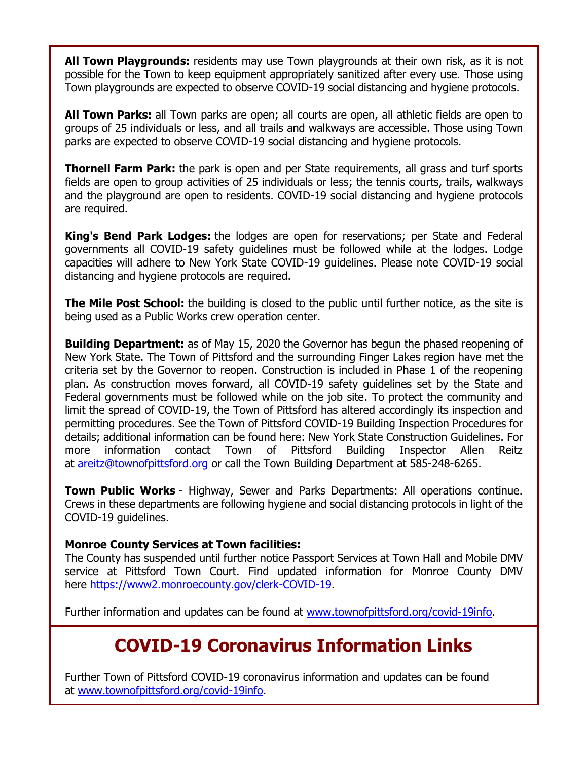**All Town Playgrounds:** residents may use Town playgrounds at their own risk, as it is not possible for the Town to keep equipment appropriately sanitized after every use. Those using Town playgrounds are expected to observe COVID-19 social distancing and hygiene protocols.

**All Town Parks:** all Town parks are open; all courts are open, all athletic fields are open to groups of 25 individuals or less, and all trails and walkways are accessible. Those using Town parks are expected to observe COVID-19 social distancing and hygiene protocols.

**Thornell Farm Park:** the park is open and per State requirements, all grass and turf sports fields are open to group activities of 25 individuals or less; the tennis courts, trails, walkways and the playground are open to residents. COVID-19 social distancing and hygiene protocols are required.

**King's Bend Park Lodges:** the lodges are open for reservations; per State and Federal governments all COVID-19 safety guidelines must be followed while at the lodges. Lodge capacities will adhere to New York State COVID-19 guidelines. Please note COVID-19 social distancing and hygiene protocols are required.

**The Mile Post School:** the building is closed to the public until further notice, as the site is being used as a Public Works crew operation center.

**Building Department:** as of May 15, 2020 the Governor has begun the phased reopening of New York State. The Town of Pittsford and the surrounding Finger Lakes region have met the criteria set by the Governor to reopen. Construction is included in Phase 1 of the reopening plan. As construction moves forward, all COVID-19 safety guidelines set by the State and Federal governments must be followed while on the job site. To protect the community and limit the spread of COVID-19, the Town of Pittsford has altered accordingly its inspection and permitting procedures. See the Town of Pittsford COVID-19 Building Inspection Procedures for details; additional information can be found here: New York State Construction Guidelines. For more information contact Town of Pittsford Building Inspector Allen Reitz at [areitz@townofpittsford.org](mailto:areitz@townofpittsford.org?subject=COVID-19%20Construciton%20Information) or call the Town Building Department at 585-248-6265.

**Town Public Works** - Highway, Sewer and Parks Departments: All operations continue. Crews in these departments are following hygiene and social distancing protocols in light of the COVID-19 guidelines.

### **Monroe County Services at Town facilities:**

The County has suspended until further notice Passport Services at Town Hall and Mobile DMV service at Pittsford Town Court. Find updated information for Monroe County DMV here [https://www2.monroecounty.gov/clerk-COVID-19.](http://r20.rs6.net/tn.jsp?f=001O1Lm08_RKJCb6F1ZhWcH7nTxpScrpQ37GJOMbr4u9-fW5RaAwAEZwFGBVegI8Xib3EYUcWQ_-16KYReH2Yox4Yn2pNQ7WlJKp_4XzwQHrHf7-p7WDzgB6Nh006FRCD11JmkAzzN-4uLDfy7x08l0ScMlIfzKu4RyDsDBpVPg5w4=&c=rHjRkhIWIakbYM0iyegcAGNFuX2OTQb9KXj8t4uWMV8DtkV81_bMKg==&ch=ie3LLoSIbjZxhonxklvSSGSz3c9Wd97dFL6ogjGZK3M1C3VKrlAKmw==&jrc=1)

Further information and updates can be found at [www.townofpittsford.org/covid-19info.](http://r20.rs6.net/tn.jsp?f=001O1Lm08_RKJCb6F1ZhWcH7nTxpScrpQ37GJOMbr4u9-fW5RaAwAEZwLofyL547S6qJxLitxu9TfdT8rJgdqf0bwiZOrl8_eXKSeJaeC7iI-XeOZjAaP709DyHWnhy489046VTdBx5C0fM9y4i2womwnZPeXi18sqDaHHGOBx3xug=&c=rHjRkhIWIakbYM0iyegcAGNFuX2OTQb9KXj8t4uWMV8DtkV81_bMKg==&ch=ie3LLoSIbjZxhonxklvSSGSz3c9Wd97dFL6ogjGZK3M1C3VKrlAKmw==&jrc=1)

# **COVID-19 Coronavirus Information Links**

Further Town of Pittsford COVID-19 coronavirus information and updates can be found at [www.townofpittsford.org/covid-19info.](http://r20.rs6.net/tn.jsp?f=001O1Lm08_RKJCb6F1ZhWcH7nTxpScrpQ37GJOMbr4u9-fW5RaAwAEZwLofyL547S6qJxLitxu9TfdT8rJgdqf0bwiZOrl8_eXKSeJaeC7iI-XeOZjAaP709DyHWnhy489046VTdBx5C0fM9y4i2womwnZPeXi18sqDaHHGOBx3xug=&c=rHjRkhIWIakbYM0iyegcAGNFuX2OTQb9KXj8t4uWMV8DtkV81_bMKg==&ch=ie3LLoSIbjZxhonxklvSSGSz3c9Wd97dFL6ogjGZK3M1C3VKrlAKmw==&jrc=1)